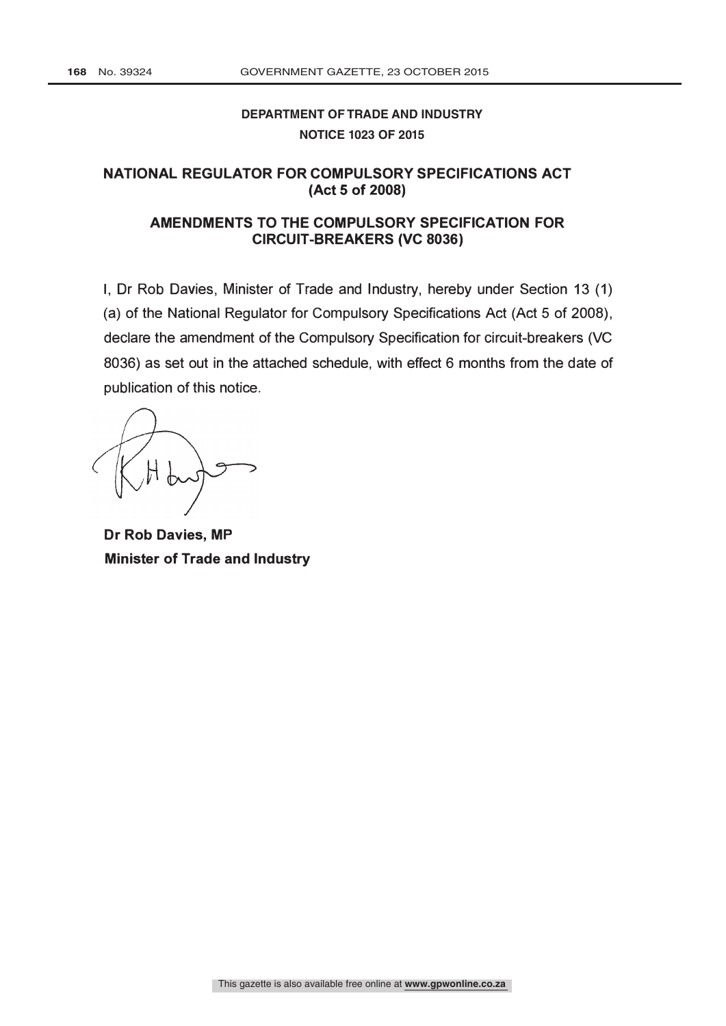# **DEPARTMENT OF TRADE AND INDUSTRY NOTICE 1023 OF 2015**

# NATIONAL REGULATOR FOR COMPULSORY SPECIFICATIONS ACT (Act 5 of 2008)

### AMENDMENTS TO THE COMPULSORY SPECIFICATION FOR CIRCUIT -BREAKERS (VC 8036)

I, Dr Rob Davies, Minister of Trade and Industry, hereby under Section 13 (1) (a) of the National Regulator for Compulsory Specifications Act (Act 5 of 2008), declare the amendment of the Compulsory Specification for circuit-breakers (VC 8036) as set out in the attached schedule, with effect 6 months from the date of publication of this notice.

Dr Rob Davies, MP Minister of Trade and Industry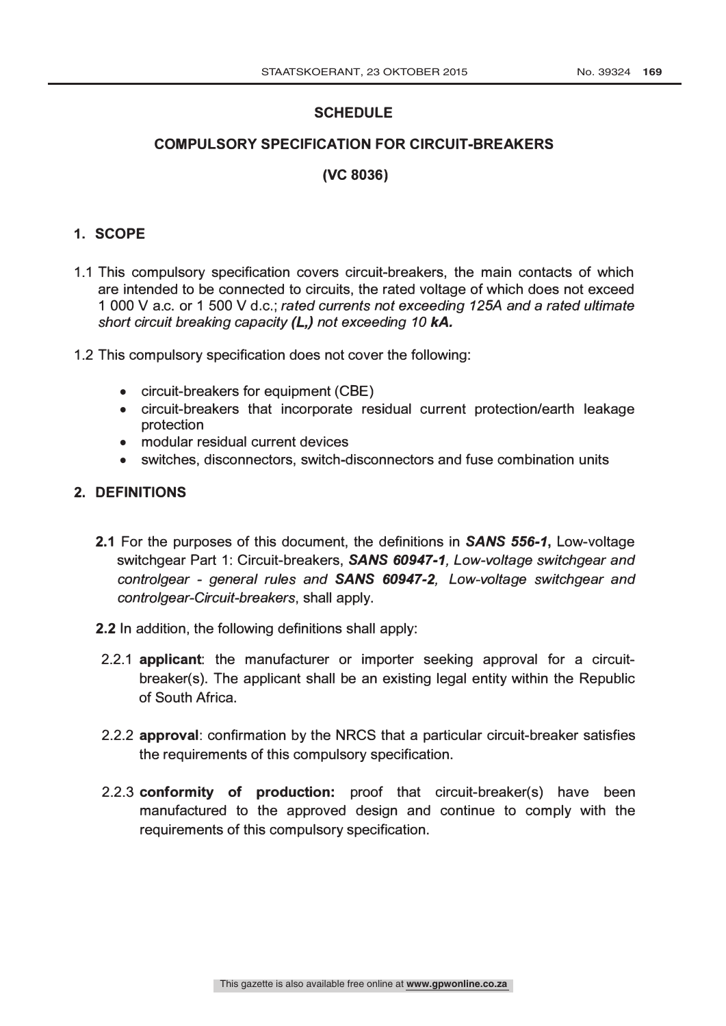# **SCHEDULE**

# COMPULSORY SPECIFICATION FOR CIRCUIT-BREAKERS

# (VC 8036)

# 1. SCOPE

- 1.1 This compulsory specification covers circuit-breakers, the main contacts of which are intended to be connected to circuits, the rated voltage of which does not exceed 1 000 V a.c. or 1 500 V d.c.; rated currents not exceeding 125A and a rated ultimate short circuit breaking capacity (L,) not exceeding 10 kA.
- 1.2 This compulsory specification does not cover the following:
	- circuit-breakers for equipment (CBE)
	- circuit-breakers that incorporate residual current protection/earth leakage protection
	- modular residual current devices
	- switches, disconnectors, switch-disconnectors and fuse combination units

### 2. DEFINITIONS

- 2.1 For the purposes of this document, the definitions in **SANS 556-1**, Low-voltage switchgear Part 1: Circuit-breakers, SANS 60947-1, Low-voltage switchgear and controlgear - general rules and **SANS 60947-2**, Low-voltage switchgear and controlgear-Circuit-breakers, shall apply.
- 2.2 In addition, the following definitions shall apply:
- 2.2.1 applicant: the manufacturer or importer seeking approval for a circuitbreaker(s). The applicant shall be an existing legal entity within the Republic of South Africa.
- 2.2.2 approval: confirmation by the NRCS that a particular circuit-breaker satisfies the requirements of this compulsory specification.
- 2.2.3 conformity of production: proof that circuit-breaker(s) have been manufactured to the approved design and continue to comply with the requirements of this compulsory specification.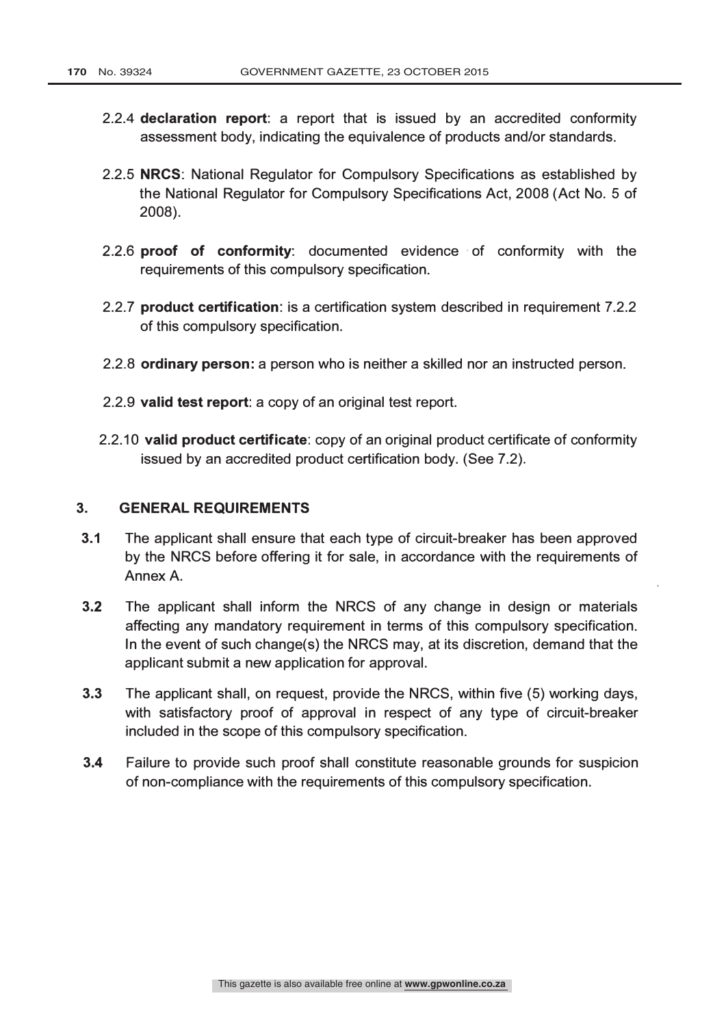- 2.2.4 declaration report: a report that is issued by an accredited conformity assessment body, indicating the equivalence of products and/or standards.
- 2.2.5 NRCS: National Regulator for Compulsory Specifications as established by the National Regulator for Compulsory Specifications Act, 2008 (Act No. 5 of 2008).
- 2.2.6 proof of conformity: documented evidence of conformity with the requirements of this compulsory specification.
- 2.2.7 product certification: is a certification system described in requirement 7.2.2 of this compulsory specification.
- 2.2.8 ordinary person: a person who is neither a skilled nor an instructed person.
- 2.2.9 valid test report: a copy of an original test report.
- 2.2.10 valid product certificate: copy of an original product certificate of conformity issued by an accredited product certification body. (See 7.2).

#### 3. GENERAL REQUIREMENTS

- 3.1 The applicant shall ensure that each type of circuit-breaker has been approved by the NRCS before offering it for sale, in accordance with the requirements of Annex A.
- 3.2 The applicant shall inform the NRCS of any change in design or materials affecting any mandatory requirement in terms of this compulsory specification. In the event of such change(s) the NRCS may, at its discretion, demand that the applicant submit a new application for approval.
- 3.3 The applicant shall, on request, provide the NRCS, within five (5) working days, with satisfactory proof of approval in respect of any type of circuit-breaker included in the scope of this compulsory specification.
- 3.4 Failure to provide such proof shall constitute reasonable grounds for suspicion of non-compliance with the requirements of this compulsory specification.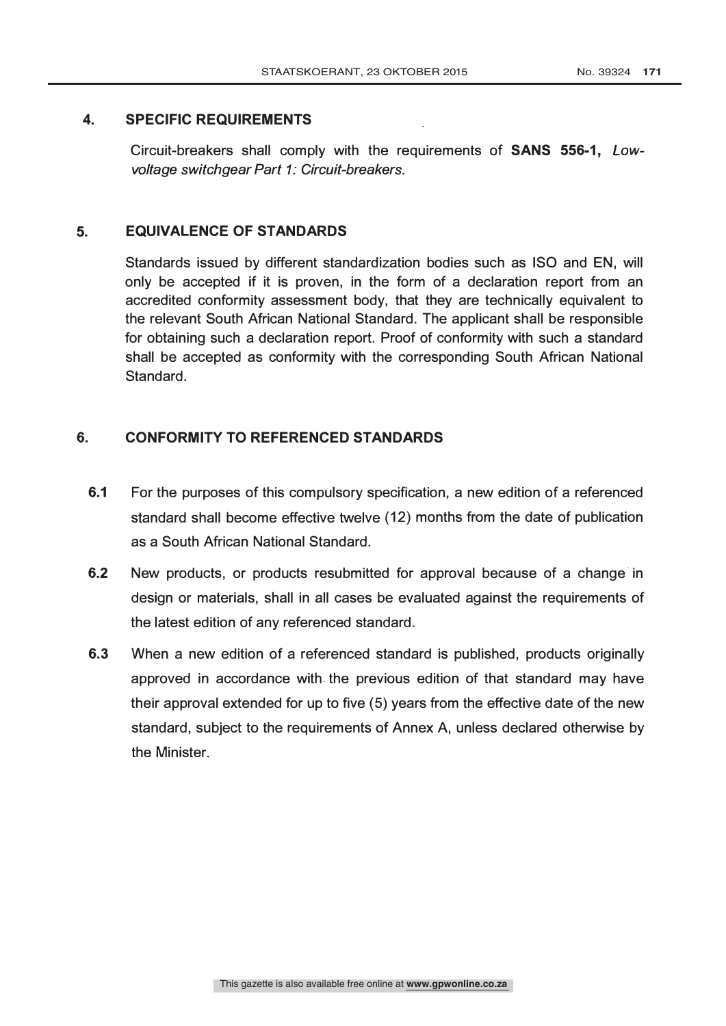### 4. SPECIFIC REQUIREMENTS

Circuit-breakers shall comply with the requirements of SANS 556-1, Lowvoltage switchgear Part 1: Circuit-breakers.

### 5. EQUIVALENCE OF STANDARDS

Standards issued by different standardization bodies such as ISO and EN, will only be accepted if it is proven, in the form of a declaration report from an accredited conformity assessment body, that they are technically equivalent to the relevant South African National Standard. The applicant shall be responsible for obtaining such a declaration report. Proof of conformity with such a standard shall be accepted as conformity with the corresponding South African National Standard.

# 6. CONFORMITY TO REFERENCED STANDARDS

- 6.1 For the purposes of this compulsory specification, a new edition of a referenced standard shall become effective twelve (12) months from the date of publication as a South African National Standard.
- 6.2 New products, or products resubmitted for approval because of a change in design or materials, shall in all cases be evaluated against the requirements of the latest edition of any referenced standard.
- 6.3 When a new edition of a referenced standard is published, products originally approved in accordance with. the previous edition of that standard may have their approval extended for up to five (5) years from the effective date of the new standard, subject to the requirements of Annex A, unless declared otherwise by the Minister.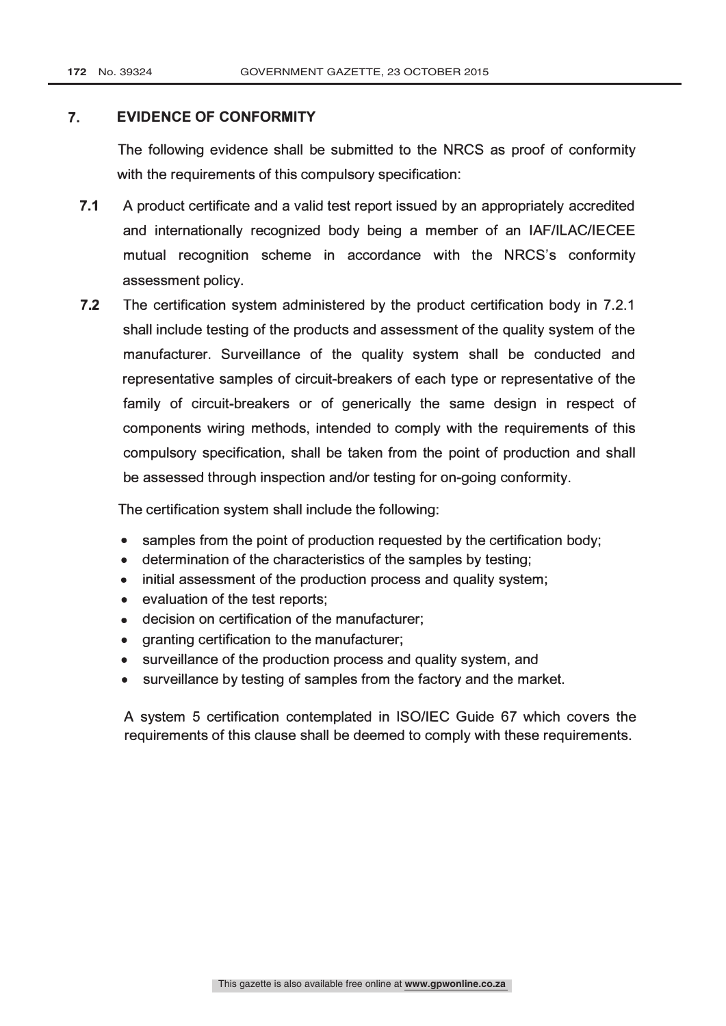### 7. EVIDENCE OF CONFORMITY

The following evidence shall be submitted to the NRCS as proof of conformity with the requirements of this compulsory specification:

- 7.1 A product certificate and a valid test report issued by an appropriately accredited and internationally recognized body being a member of an IAF/ILAC/IECEE mutual recognition scheme in accordance with the NRCS's conformity assessment policy.
- 7.2 The certification system administered by the product certification body in 7.2.1 shall include testing of the products and assessment of the quality system of the manufacturer. Surveillance of the quality system shall be conducted and representative samples of circuit-breakers of each type or representative of the family of circuit-breakers or of generically the same design in respect of components wiring methods, intended to comply with the requirements of this compulsory specification, shall be taken from the point of production and shall be assessed through inspection and/or testing for on-going conformity.

The certification system shall include the following:

- samples from the point of production requested by the certification body;
- determination of the characteristics of the samples by testing;
- initial assessment of the production process and quality system;
- evaluation of the test reports;
- decision on certification of the manufacturer;
- granting certification to the manufacturer;
- surveillance of the production process and quality system, and
- surveillance by testing of samples from the factory and the market.

A system 5 certification contemplated in 180/IEC Guide 67 which covers the requirements of this clause shall be deemed to comply with these requirements.